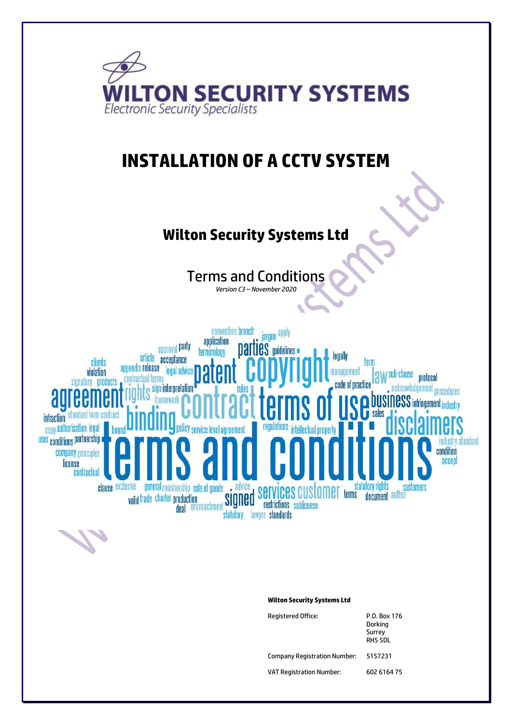

Company Registration Number: 5157231

VAT Registration Number: 602 6164 75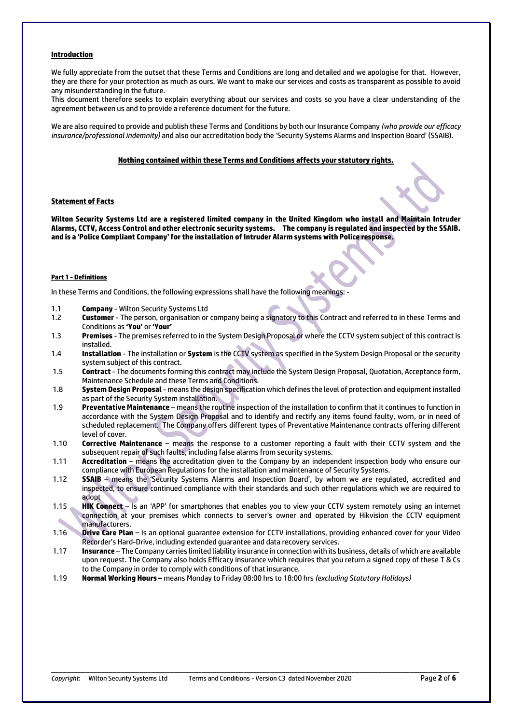#### **Introduction**

We fully appreciate from the outset that these Terms and Conditions are long and detailed and we apologise for that. However, they are there for your protection as much as ours. We want to make our services and costs as transparent as possible to avoid any misunderstanding in the future.

This document therefore seeks to explain everything about our services and costs so you have a clear understanding of the agreement between us and to provide a reference document for the future.

We are also required to provide and publish these Terms and Conditions by both our Insurance Company *(who provide our efficacy insurance/professional indemnity)* and also our accreditation body the 'Security Systems Alarms and Inspection Board' (SSAIB).

#### **Nothing contained within these Terms and Conditions affects your statutory rights.**

#### **Statement of Facts**

**Wilton Security Systems Ltd are a registered limited company in the United Kingdom who install and Maintain Intruder Alarms, CCTV, Access Control and other electronic security systems. The company is regulated and inspected by the SSAIB. and is a 'Police Compliant Company'for the installation of Intruder Alarm systems with Police response.**

#### **Part 1 - Definitions**

In these Terms and Conditions, the following expressions shall have the following meanings: -

- 1.1 **Company** Wilton Security Systems Ltd
- 1.2 **Customer** The person, organisation or company being a signatory to this Contract and referred to in these Terms and Conditions as **'You'** or **'Your'**
- 1.3 **Premises** The premises referred to in the System Design Proposal or where the CCTV system subject of this contract is installed.
- 1.4 **Installation** The installation or **System** is the CCTV system as specified in the System Design Proposal or the security system subject of this contract.
- 1.5 **Contract** The documents forming this contract may include the System Design Proposal, Quotation, Acceptance form, Maintenance Schedule and these Terms and Conditions.
- 1.8 **System Design Proposal** means the design specification which defines the level of protection and equipment installed as part of the Security System installation.
- 1.9 **Preventative Maintenance** means the routine inspection of the installation to confirm that it continues to function in accordance with the System Design Proposal and to identify and rectify any items found faulty, worn, or in need of scheduled replacement. The Company offers different types of Preventative Maintenance contracts offering different level of cover.
- 1.10 **Corrective Maintenance** means the response to a customer reporting a fault with their CCTV system and the subsequent repair of such faults, including false alarms from security systems.
- 1.11 **Accreditation** means the accreditation given to the Company by an independent inspection body who ensure our compliance with European Regulations for the installation and maintenance of Security Systems.
- 1.12 **SSAIB**  means the 'Security Systems Alarms and Inspection Board', by whom we are regulated, accredited and inspected, to ensure continued compliance with their standards and such other regulations which we are required to adopt
- 1.15 **HIK Connect** Is an 'APP' for smartphones that enables you to view your CCTV system remotely using an internet connection at your premises which connects to server's owner and operated by Hikvision the CCTV equipment manufacturers.
- 1.16 **Drive Care Plan** Is an optional guarantee extension for CCTV installations, providing enhanced cover for your Video Recorder's Hard-Drive, including extended guarantee and data recovery services.
- 1.17 **Insurance** The Company carries limited liability insurance in connection with its business, details of which are available upon request. The Company also holds Efficacy insurance which requires that you return a signed copy of these T & Cs to the Company in order to comply with conditions of that insurance.

\_\_\_\_\_\_\_\_\_\_\_\_\_\_\_\_\_\_\_\_\_\_\_\_\_\_\_\_\_\_\_\_\_\_\_\_\_\_\_\_\_\_\_\_\_\_\_\_\_\_\_\_\_\_\_\_\_\_\_\_\_\_\_\_\_\_\_\_\_\_\_\_\_\_\_\_\_\_\_\_\_\_\_\_\_\_\_\_\_\_\_\_\_\_\_\_\_\_\_\_\_\_\_\_\_\_

1.19 **Normal Working Hours –** means Monday to Friday 08:00 hrs to 18:00 hrs *(excluding Statutory Holidays)*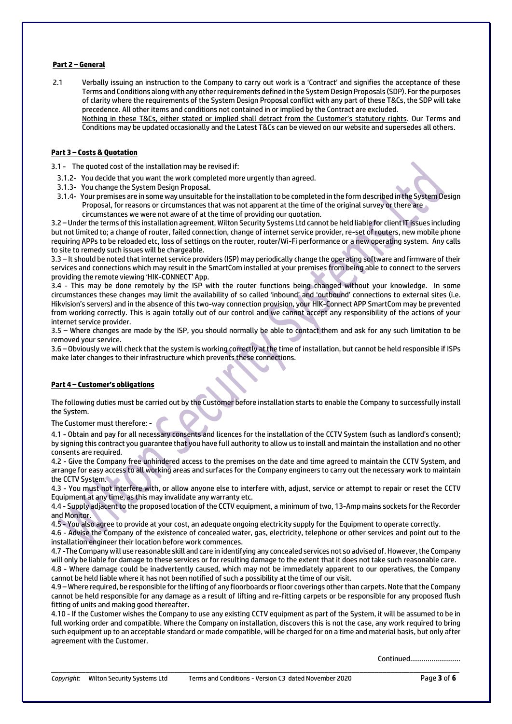## **Part 2 – General**

2.1 Verbally issuing an instruction to the Company to carry out work is a 'Contract' and signifies the acceptance of these Terms and Conditions along with any other requirements defined in the System Design Proposals (SDP). For the purposes of clarity where the requirements of the System Design Proposal conflict with any part of these T&Cs, the SDP will take precedence. All other items and conditions not contained in or implied by the Contract are excluded. Nothing in these T&Cs, either stated or implied shall detract from the Customer's statutory rights. Our Terms and Conditions may be updated occasionally and the Latest T&Cs can be viewed on our website and supersedes all others.

## **Part 3 – Costs & Quotation**

3.1 - The quoted cost of the installation may be revised if:

- 3.1.2- You decide that you want the work completed more urgently than agreed.
- 3.1.3- You change the System Design Proposal.
- 3.1.4- Your premises are in some way unsuitable for the installation to be completed in the form described in the System Design Proposal, for reasons or circumstances that was not apparent at the time of the original survey or there are circumstances we were not aware of at the time of providing our quotation.

3.2 – Under the terms of this installation agreement, Wilton Security Systems Ltd cannot be held liable for client IT issues including but not limited to; a change of router, failed connection, change of internet service provider, re-set of routers, new mobile phone requiring APPs to be reloaded etc, loss of settings on the router, router/Wi-Fi performance or a new operating system. Any calls to site to remedy such issues will be chargeable.

3.3 – It should be noted that internet service providers (ISP) may periodically change the operating software and firmware of their services and connections which may result in the SmartCom installed at your premises from being able to connect to the servers providing the remote viewing 'HIK-CONNECT' App.

3.4 - This may be done remotely by the ISP with the router functions being changed without your knowledge. In some circumstances these changes may limit the availability of so called 'inbound' and 'outbound' connections to external sites (i.e. Hikvision's servers) and in the absence of this two-way connection provision, your HIK-Connect APP SmartCom may be prevented from working correctly. This is again totally out of our control and we cannot accept any responsibility of the actions of your internet service provider.

3.5 – Where changes are made by the ISP, you should normally be able to contact them and ask for any such limitation to be removed your service.

3.6 – Obviously we will check that the system is working correctly at the time of installation, but cannot be held responsible if ISPs make later changes to their infrastructure which prevents these connections.

## **Part 4 – Customer's obligations**

The following duties must be carried out by the Customer before installation starts to enable the Company to successfully install the System.

The Customer must therefore: -

4.1 - Obtain and pay for all necessary consents and licences for the installation of the CCTV System (such as landlord's consent); by signing this contract you guarantee that you have full authority to allow us to install and maintain the installation and no other consents are required.

4.2 - Give the Company free unhindered access to the premises on the date and time agreed to maintain the CCTV System, and arrange for easy access to all working areas and surfaces for the Company engineers to carry out the necessary work to maintain the CCTV System.

4.3 - You must not interfere with, or allow anyone else to interfere with, adjust, service or attempt to repair or reset the CCTV Equipment at any time, as this may invalidate any warranty etc.

4.4 - Supply adjacent to the proposed location of the CCTV equipment, a minimum of two, 13-Amp mains sockets for the Recorder and Monitor.

4.5 - You also agree to provide at your cost, an adequate ongoing electricity supply for the Equipment to operate correctly.

4.6 - Advise the Company of the existence of concealed water, gas, electricity, telephone or other services and point out to the installation engineer their location before work commences.

4.7 -The Company will use reasonable skill and care in identifying any concealed services not so advised of. However, the Company will only be liable for damage to these services or for resulting damage to the extent that it does not take such reasonable care.

4.8 - Where damage could be inadvertently caused, which may not be immediately apparent to our operatives, the Company cannot be held liable where it has not been notified of such a possibility at the time of our visit.

4.9 – Where required, be responsible for the lifting of any floorboards or floor coverings other than carpets. Note that the Company cannot be held responsible for any damage as a result of lifting and re-fitting carpets or be responsible for any proposed flush fitting of units and making good thereafter.

4.10 - If the Customer wishes the Company to use any existing CCTV equipment as part of the System, it will be assumed to be in full working order and compatible. Where the Company on installation, discovers this is not the case, any work required to bring such equipment up to an acceptable standard or made compatible, will be charged for on a time and material basis, but only after agreement with the Customer.

\_\_\_\_\_\_\_\_\_\_\_\_\_\_\_\_\_\_\_\_\_\_\_\_\_\_\_\_\_\_\_\_\_\_\_\_\_\_\_\_\_\_\_\_\_\_\_\_\_\_\_\_\_\_\_\_\_\_\_\_\_\_\_\_\_\_\_\_\_\_\_\_\_\_\_\_\_\_\_\_\_\_\_\_\_\_\_\_\_\_\_\_\_\_\_\_\_\_\_\_\_\_\_\_\_\_

Continued……………………..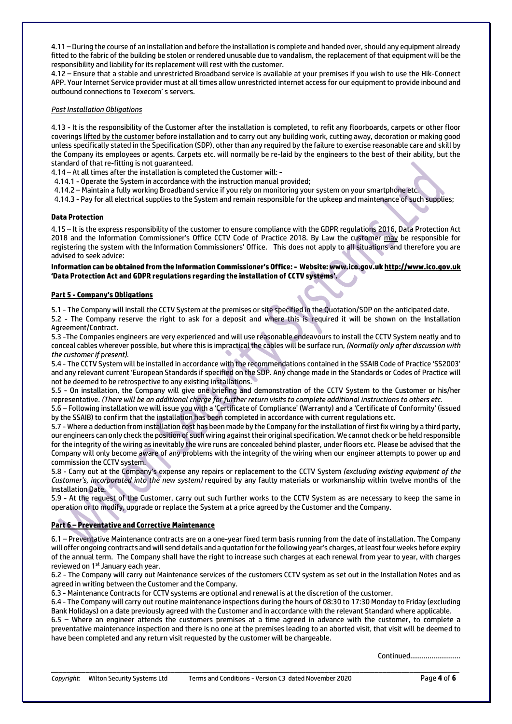4.11 – During the course of an installation and before the installation is complete and handed over, should any equipment already fitted to the fabric of the building be stolen or rendered unusable due to vandalism, the replacement of that equipment will be the responsibility and liability for its replacement will rest with the customer.

4.12 – Ensure that a stable and unrestricted Broadband service is available at your premises if you wish to use the Hik-Connect APP. Your Internet Service provider must at all times allow unrestricted internet access for our equipment to provide inbound and outbound connections to Texecom' s servers.

## *Post Installation Obligations*

4.13 - It is the responsibility of the Customer after the installation is completed, to refit any floorboards, carpets or other floor coverings lifted by the customer before installation and to carry out any building work, cutting away, decoration or making good unless specifically stated in the Specification (SDP), other than any required by the failure to exercise reasonable care and skill by the Company its employees or agents. Carpets etc. will normally be re-laid by the engineers to the best of their ability, but the standard of that re-fitting is not guaranteed.

4.14 – At all times after the installation is completed the Customer will: -

4.14.1 - Operate the System in accordance with the instruction manual provided;

4.14.2 – Maintain a fully working Broadband service if you rely on monitoring your system on your smartphone etc.

4.14.3 - Pay for all electrical supplies to the System and remain responsible for the upkeep and maintenance of such supplies;

## **Data Protection**

4.15 – It is the express responsibility of the customer to ensure compliance with the GDPR regulations 2016, Data Protection Act 2018 and the Information Commissioner's Office CCTV Code of Practice 2018. By Law the customer may be responsible for registering the system with the Information Commissioners' Office. This does not apply to all situations and therefore you are advised to seek advice:

## **Information can be obtained from the Information Commissioner's Office: - Website: www.ico.gov.u[k http://www.ico.gov.uk](http://www.ico.gov.uk/) 'Data Protection Act and GDPR regulations regarding the installation of CCTV systems'.**

## **Part 5 - Company's Obligations**

5.1 - The Company will install the CCTV System at the premises or site specified in the Quotation/SDP on the anticipated date.

5.2 - The Company reserve the right to ask for a deposit and where this is required it will be shown on the Installation Agreement/Contract.

5.3 -The Companies engineers are very experienced and will use reasonable endeavours to install the CCTV System neatly and to conceal cables wherever possible, but where this is impractical the cables will be surface run, *(Normally only after discussion with the customer if present).*

5.4 - The CCTV System will be installed in accordance with the recommendations contained in the SSAIB Code of Practice 'SS2003' and any relevant current 'European Standards if specified on the SDP. Any change made in the Standards or Codes of Practice will not be deemed to be retrospective to any existing installations.

5.5 - On installation, the Company will give one briefing and demonstration of the CCTV System to the Customer or his/her representative. *(There will be an additional charge for further return visits to complete additional instructions to others etc.*

5.6 – Following installation we will issue you with a 'Certificate of Compliance' (Warranty) and a 'Certificate of Conformity' (issued by the SSAIB) to confirm that the installation has been completed in accordance with current regulations etc.

5.7 - Where a deduction from installation cost has been made by the Company for the installation of first fix wiring by a third party, our engineers can only check the position of such wiring against their original specification. We cannot check or be held responsible for the integrity of the wiring as inevitably the wire runs are concealed behind plaster, under floors etc. Please be advised that the Company will only become aware of any problems with the integrity of the wiring when our engineer attempts to power up and commission the CCTV system.

5.8 - Carry out at the Company's expense any repairs or replacement to the CCTV System *(excluding existing equipment of the Customer's, incorporated into the new system)* required by any faulty materials or workmanship within twelve months of the Installation Date.

5.9 - At the request of the Customer, carry out such further works to the CCTV System as are necessary to keep the same in operation or to modify, upgrade or replace the System at a price agreed by the Customer and the Company.

# **Part 6 – Preventative and Corrective Maintenance**

6.1 – Preventative Maintenance contracts are on a one-year fixed term basis running from the date of installation. The Company will offer ongoing contracts and will send details and a quotation for the following year's charges, at least four weeks before expiry of the annual term. The Company shall have the right to increase such charges at each renewal from year to year, with charges reviewed on 1<sup>st</sup> January each year.

6.2 - The Company will carry out Maintenance services of the customers CCTV system as set out in the Installation Notes and as agreed in writing between the Customer and the Company.

6.3 - Maintenance Contracts for CCTV systems are optional and renewal is at the discretion of the customer.

6.4 - The Company will carry out routine maintenance inspections during the hours of 08:30 to 17:30 Monday to Friday (excluding Bank Holidays) on a date previously agreed with the Customer and in accordance with the relevant Standard where applicable.

6.5 – Where an engineer attends the customers premises at a time agreed in advance with the customer, to complete a preventative maintenance inspection and there is no one at the premises leading to an aborted visit, that visit will be deemed to have been completed and any return visit requested by the customer will be chargeable.

\_\_\_\_\_\_\_\_\_\_\_\_\_\_\_\_\_\_\_\_\_\_\_\_\_\_\_\_\_\_\_\_\_\_\_\_\_\_\_\_\_\_\_\_\_\_\_\_\_\_\_\_\_\_\_\_\_\_\_\_\_\_\_\_\_\_\_\_\_\_\_\_\_\_\_\_\_\_\_\_\_\_\_\_\_\_\_\_\_\_\_\_\_\_\_\_\_\_\_\_\_\_\_\_\_\_

Continued……………………..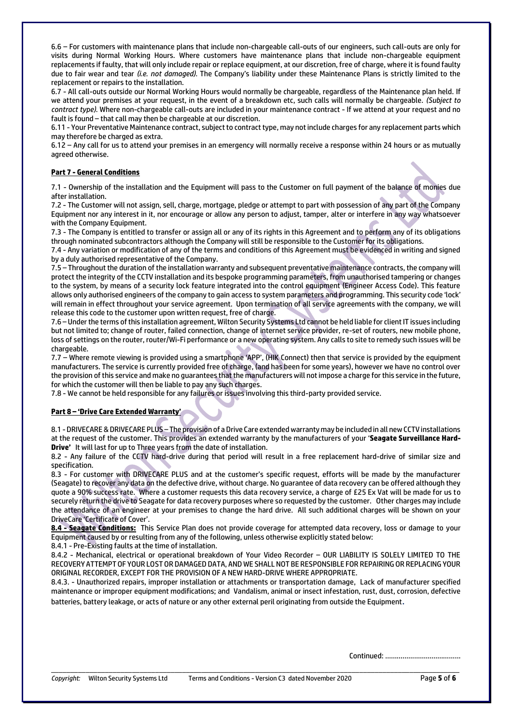6.6 – For customers with maintenance plans that include non-chargeable call-outs of our engineers, such call-outs are only for visits during Normal Working Hours. Where customers have maintenance plans that include non-chargeable equipment replacements if faulty, that will only include repair or replace equipment, at our discretion, free of charge, where it is found faulty due to fair wear and tear *(i.e. not damaged).* The Company's liability under these Maintenance Plans is strictly limited to the replacement or repairs to the installation.

6.7 - All call-outs outside our Normal Working Hours would normally be chargeable, regardless of the Maintenance plan held. If we attend your premises at your request, in the event of a breakdown etc, such calls will normally be chargeable. *(Subject to contract type).* Where non-chargeable call-outs are included in your maintenance contract - If we attend at your request and no fault is found – that call may then be chargeable at our discretion.

6.11 - Your Preventative Maintenance contract, subject to contract type, may not include charges for any replacement parts which may therefore be charged as extra.

6.12 – Any call for us to attend your premises in an emergency will normally receive a response within 24 hours or as mutually agreed otherwise.

# **Part 7 - General Conditions**

7.1 - Ownership of the installation and the Equipment will pass to the Customer on full payment of the balance of monies due after installation.

7.2 - The Customer will not assign, sell, charge, mortgage, pledge or attempt to part with possession of any part of the Company Equipment nor any interest in it, nor encourage or allow any person to adjust, tamper, alter or interfere in any way whatsoever with the Company Equipment.

7.3 - The Company is entitled to transfer or assign all or any of its rights in this Agreement and to perform any of its obligations through nominated subcontractors although the Company will still be responsible to the Customer for its obligations.

7.4 - Any variation or modification of any of the terms and conditions of this Agreement must be evidenced in writing and signed by a duly authorised representative of the Company.

7.5 – Throughout the duration of the installation warranty and subsequent preventative maintenance contracts, the company will protect the integrity of the CCTV installation and its bespoke programming parameters, from unauthorised tampering or changes to the system, by means of a security lock feature integrated into the control equipment (Engineer Access Code). This feature allows only authorised engineers of the company to gain access to system parameters and programming. This security code 'lock' will remain in effect throughout your service agreement. Upon termination of all service agreements with the company, we will release this code to the customer upon written request, free of charge.

7.6 – Under the terms of this installation agreement, Wilton Security Systems Ltd cannot be held liable for client IT issues including but not limited to; change of router, failed connection, change of internet service provider, re-set of routers, new mobile phone, loss of settings on the router, router/Wi-Fi performance or a new operating system. Any calls to site to remedy such issues will be chargeable.

7.7 – Where remote viewing is provided using a smartphone 'APP', (HIK Connect) then that service is provided by the equipment manufacturers. The service is currently provided free of charge, (and has been for some years), however we have no control over the provision of this service and make no guarantees that the manufacturers will not impose a charge for this service in the future, for which the customer will then be liable to pay any such charges.

7.8 - We cannot be held responsible for any failures or issues involving this third-party provided service.

# **Part 8 – 'Drive Care Extended Warranty'**

8.1 -DRIVECARE& DRIVECARE PLUS – The provision of a Drive Care extended warranty may be included in all new CCTV installations at the request of the customer. This provides an extended warranty by the manufacturers of your '**Seagate Surveillance Hard-Drive'** It will last for up to Three years from the date of installation.

8.2 - Any failure of the CCTV hard-drive during that period will result in a free replacement hard-drive of similar size and specification.

8.3 - For customer with DRIVECARE PLUS and at the customer's specific request, efforts will be made by the manufacturer (Seagate) to recover any data on the defective drive, without charge. No guarantee of data recovery can be offered although they quote a 90% success rate. Where a customer requests this data recovery service, a charge of £25 Ex Vat will be made for us to securely return the drive to Seagate for data recovery purposes where so requested by the customer. Other charges may include the attendance of an engineer at your premises to change the hard drive. All such additional charges will be shown on your DriveCare 'Certificate of Cover'.

**8.4 - Seagate Conditions:** This Service Plan does not provide coverage for attempted data recovery, loss or damage to your Equipment caused by or resulting from any of the following, unless otherwise explicitly stated below:

8.4.1 - Pre-Existing faults at the time of installation.

8.4.2 - Mechanical, electrical or operational breakdown of Your Video Recorder – OUR LIABILITY IS SOLELY LIMITED TO THE RECOVERY ATTEMPT OF YOUR LOST OR DAMAGED DATA, AND WE SHALL NOT BE RESPONSIBLE FOR REPAIRING OR REPLACING YOUR ORIGINAL RECORDER, EXCEPT FOR THE PROVISION OF A NEW HARD-DRIVE WHERE APPROPRIATE.

8.4.3. - Unauthorized repairs, improper installation or attachments or transportation damage, Lack of manufacturer specified maintenance or improper equipment modifications; and Vandalism, animal or insect infestation, rust, dust, corrosion, defective batteries, battery leakage, or acts of nature or any other external peril originating from outside the Equipment.

\_\_\_\_\_\_\_\_\_\_\_\_\_\_\_\_\_\_\_\_\_\_\_\_\_\_\_\_\_\_\_\_\_\_\_\_\_\_\_\_\_\_\_\_\_\_\_\_\_\_\_\_\_\_\_\_\_\_\_\_\_\_\_\_\_\_\_\_\_\_\_\_\_\_\_\_\_\_\_\_\_\_\_\_\_\_\_\_\_\_\_\_\_\_\_\_\_\_\_\_\_\_\_\_\_\_

Continued: …………………………………